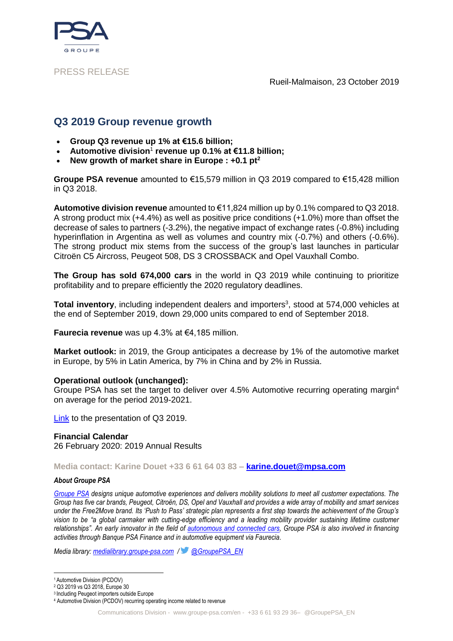

### PRESS RELEASE

Rueil-Malmaison, 23 October 2019

# **Q3 2019 Group revenue growth**

- **Group Q3 revenue up 1% at €15.6 billion;**
- **Automotive division**<sup>1</sup> **revenue up 0.1% at €11.8 billion;**
- **New growth of market share in Europe : +0.1 pt<sup>2</sup>**

**Groupe PSA revenue** amounted to €15,579 million in Q3 2019 compared to €15,428 million in Q3 2018.

**Automotive division revenue** amounted to €11,824 million up by 0.1% compared to Q3 2018. A strong product mix (+4.4%) as well as positive price conditions (+1.0%) more than offset the decrease of sales to partners (-3.2%), the negative impact of exchange rates (-0.8%) including hyperinflation in Argentina as well as volumes and country mix (-0.7%) and others (-0.6%). The strong product mix stems from the success of the group's last launches in particular Citroën C5 Aircross, Peugeot 508, DS 3 CROSSBACK and Opel Vauxhall Combo.

**The Group has sold 674,000 cars** in the world in Q3 2019 while continuing to prioritize profitability and to prepare efficiently the 2020 regulatory deadlines.

Total inventory, including independent dealers and importers<sup>3</sup>, stood at 574,000 vehicles at the end of September 2019, down 29,000 units compared to end of September 2018.

**Faurecia revenue** was up 4.3% at €4,185 million.

**Market outlook:** in 2019, the Group anticipates a decrease by 1% of the automotive market in Europe, by 5% in Latin America, by 7% in China and by 2% in Russia.

### **Operational outlook (unchanged):**

Groupe PSA has set the target to deliver over 4.5% Automotive recurring operating margin<sup>4</sup> on average for the period 2019-2021.

[Link](https://www.groupe-psa.com/en/finance/publications/) to the presentation of Q3 2019.

### **Financial Calendar**

26 February 2020: 2019 Annual Results

**Media contact: Karine Douet +33 6 61 64 03 83 – [karine.douet@mpsa.com](mailto:karine.douet@mpsa.com)**

#### *About Groupe PSA*

*[Groupe PSA](https://www.groupe-psa.com/fr) designs unique automotive experiences and delivers mobility solutions to meet all customer expectations. The Group has five car brands, Peugeot, Citroën, DS, Opel and Vauxhall and provides a wide array of mobility and smart services under the Free2Move brand. Its 'Push to Pass' strategic plan represents a first step towards the achievement of the Group's vision to be "a global carmaker with cutting-edge efficiency and a leading mobility provider sustaining lifetime customer relationships". An early innovator in the field of [autonomous and connected cars,](https://www.groupe-psa.com/en/story/en-route-vers-la-voiture-autonome/) Groupe PSA is also involved in financing activities through Banque PSA Finance and in automotive equipment via Faurecia.*

*Media library: [medialibrary.groupe-psa.com](http://medialibrary.groupe-psa.com/) / [@GroupePSA\\_EN](https://twitter.com/GroupePSA_EN)*

.<br>-

<sup>1</sup> Automotive Division (PCDOV)

<sup>2</sup> Q3 2019 vs Q3 2018, Europe 30

<sup>3</sup> Including Peugeot importers outside Europe

<sup>4</sup> Automotive Division (PCDOV) recurring operating income related to revenue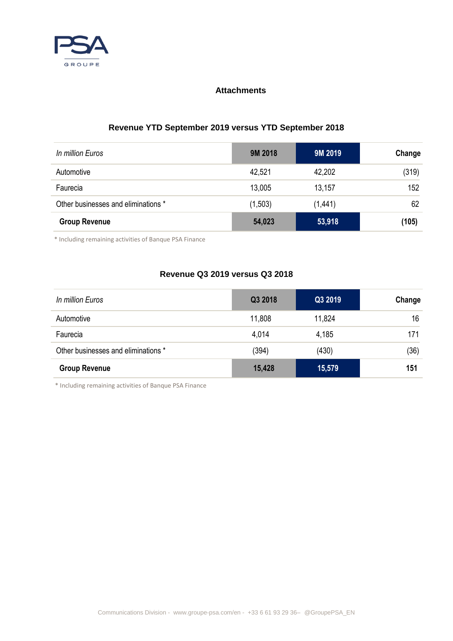

## **Attachments**

# **Revenue YTD September 2019 versus YTD September 2018**

| In million Euros                    | 9M 2018 | 9M 2019 | Change |
|-------------------------------------|---------|---------|--------|
| Automotive                          | 42,521  | 42,202  | (319)  |
| Faurecia                            | 13,005  | 13,157  | 152    |
| Other businesses and eliminations * | (1,503) | (1,441) | 62     |
| <b>Group Revenue</b>                | 54,023  | 53,918  | (105)  |

\* Including remaining activities of Banque PSA Finance

## **Revenue Q3 2019 versus Q3 2018**

| In million Euros                    | Q3 2018 | Q3 2019 | Change |
|-------------------------------------|---------|---------|--------|
| Automotive                          | 11,808  | 11,824  | 16     |
| Faurecia                            | 4,014   | 4,185   | 171    |
| Other businesses and eliminations * | (394)   | (430)   | (36)   |
| <b>Group Revenue</b>                | 15,428  | 15,579  | 151    |

\* Including remaining activities of Banque PSA Finance